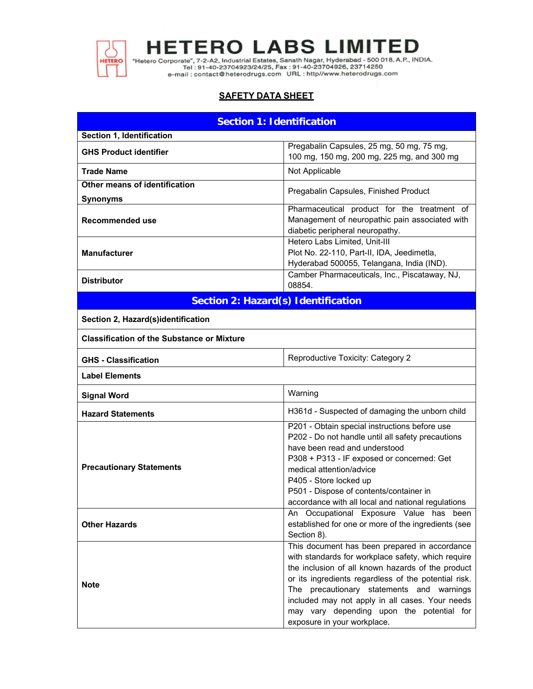

"Hetero Corporate", 7-2-A2, Industrial Estates, Sanath Nagar, Hyderabad - 500 018. A.P., INDIA.<br>Tel : 91-40-23704923/24/25, Fax : 91-40-23704926, 23714250<br>e-mail : contact@heterodrugs.com URL : http://www.heterodrugs.com

# **SAFETY DATA SHEET**

| <b>Section 1: Identification</b>                                              |                                                                                                                                                                                                                                                                                                                                                                                              |  |  |
|-------------------------------------------------------------------------------|----------------------------------------------------------------------------------------------------------------------------------------------------------------------------------------------------------------------------------------------------------------------------------------------------------------------------------------------------------------------------------------------|--|--|
| Section 1, Identification                                                     |                                                                                                                                                                                                                                                                                                                                                                                              |  |  |
| <b>GHS Product identifier</b>                                                 | Pregabalin Capsules, 25 mg, 50 mg, 75 mg,<br>100 mg, 150 mg, 200 mg, 225 mg, and 300 mg                                                                                                                                                                                                                                                                                                      |  |  |
| <b>Trade Name</b>                                                             | Not Applicable                                                                                                                                                                                                                                                                                                                                                                               |  |  |
| Other means of identification                                                 | Pregabalin Capsules, Finished Product                                                                                                                                                                                                                                                                                                                                                        |  |  |
| <b>Synonyms</b><br><b>Recommended use</b>                                     | Pharmaceutical product for the treatment of<br>Management of neuropathic pain associated with<br>diabetic peripheral neuropathy.                                                                                                                                                                                                                                                             |  |  |
| <b>Manufacturer</b>                                                           | Hetero Labs Limited, Unit-III<br>Plot No. 22-110, Part-II, IDA, Jeedimetla,<br>Hyderabad 500055, Telangana, India (IND).                                                                                                                                                                                                                                                                     |  |  |
| Camber Pharmaceuticals, Inc., Piscataway, NJ,<br><b>Distributor</b><br>08854. |                                                                                                                                                                                                                                                                                                                                                                                              |  |  |
| <b>Section 2: Hazard(s) Identification</b>                                    |                                                                                                                                                                                                                                                                                                                                                                                              |  |  |
| Section 2, Hazard(s)identification                                            |                                                                                                                                                                                                                                                                                                                                                                                              |  |  |
| <b>Classification of the Substance or Mixture</b>                             |                                                                                                                                                                                                                                                                                                                                                                                              |  |  |
| <b>GHS - Classification</b>                                                   | Reproductive Toxicity: Category 2                                                                                                                                                                                                                                                                                                                                                            |  |  |
| <b>Label Elements</b>                                                         |                                                                                                                                                                                                                                                                                                                                                                                              |  |  |
| <b>Signal Word</b>                                                            | Warning                                                                                                                                                                                                                                                                                                                                                                                      |  |  |
| H361d - Suspected of damaging the unborn child<br><b>Hazard Statements</b>    |                                                                                                                                                                                                                                                                                                                                                                                              |  |  |
| <b>Precautionary Statements</b>                                               | P201 - Obtain special instructions before use<br>P202 - Do not handle until all safety precautions<br>have been read and understood<br>P308 + P313 - IF exposed or concerned: Get<br>medical attention/advice<br>P405 - Store locked up<br>P501 - Dispose of contents/container in<br>accordance with all local and national regulations                                                     |  |  |
| <b>Other Hazards</b>                                                          | An Occupational Exposure Value has been<br>established for one or more of the ingredients (see<br>Section 8).                                                                                                                                                                                                                                                                                |  |  |
| <b>Note</b>                                                                   | This document has been prepared in accordance<br>with standards for workplace safety, which require<br>the inclusion of all known hazards of the product<br>or its ingredients regardless of the potential risk.<br>The precautionary statements and warnings<br>included may not apply in all cases. Your needs<br>may vary depending upon the potential for<br>exposure in your workplace. |  |  |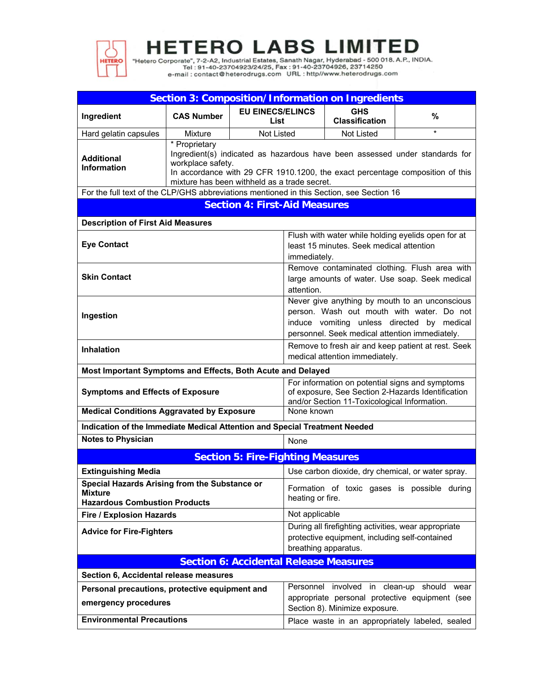

"Hetero Corporate", 7-2-A2, Industrial Estates, Sanath Nagar, Hyderabad - 500 018. A.P., INDIA.<br>Tel: 91-40-23704923/24/25, Fax: 91-40-23704926, 23714250<br>e-mail: contact@heterodrugs.com URL: http://www.heterodrugs.com

| <b>Section 3: Composition/Information on Ingredients</b>                                                                                                                                                                                                                                      |                                                                                                                                                                                                 |                                                 |                                                                                                                                                                                             |                                          |                                                                                                 |  |
|-----------------------------------------------------------------------------------------------------------------------------------------------------------------------------------------------------------------------------------------------------------------------------------------------|-------------------------------------------------------------------------------------------------------------------------------------------------------------------------------------------------|-------------------------------------------------|---------------------------------------------------------------------------------------------------------------------------------------------------------------------------------------------|------------------------------------------|-------------------------------------------------------------------------------------------------|--|
| Ingredient                                                                                                                                                                                                                                                                                    | <b>CAS Number</b>                                                                                                                                                                               | <b>EU EINECS/ELINCS</b><br>List                 |                                                                                                                                                                                             | <b>GHS</b><br><b>Classification</b>      | %                                                                                               |  |
| Hard gelatin capsules                                                                                                                                                                                                                                                                         | <b>Mixture</b>                                                                                                                                                                                  | Not Listed                                      |                                                                                                                                                                                             | <b>Not Listed</b>                        | $\star$                                                                                         |  |
| * Proprietary<br>Ingredient(s) indicated as hazardous have been assessed under standards for<br><b>Additional</b><br>workplace safety.<br><b>Information</b><br>In accordance with 29 CFR 1910.1200, the exact percentage composition of this<br>mixture has been withheld as a trade secret. |                                                                                                                                                                                                 |                                                 |                                                                                                                                                                                             |                                          |                                                                                                 |  |
|                                                                                                                                                                                                                                                                                               | For the full text of the CLP/GHS abbreviations mentioned in this Section, see Section 16                                                                                                        |                                                 |                                                                                                                                                                                             |                                          |                                                                                                 |  |
|                                                                                                                                                                                                                                                                                               |                                                                                                                                                                                                 | <b>Section 4: First-Aid Measures</b>            |                                                                                                                                                                                             |                                          |                                                                                                 |  |
| <b>Description of First Aid Measures</b>                                                                                                                                                                                                                                                      |                                                                                                                                                                                                 |                                                 |                                                                                                                                                                                             |                                          |                                                                                                 |  |
| <b>Eye Contact</b>                                                                                                                                                                                                                                                                            |                                                                                                                                                                                                 |                                                 | immediately.                                                                                                                                                                                | least 15 minutes. Seek medical attention | Flush with water while holding eyelids open for at                                              |  |
| <b>Skin Contact</b>                                                                                                                                                                                                                                                                           |                                                                                                                                                                                                 |                                                 | attention.                                                                                                                                                                                  |                                          | Remove contaminated clothing. Flush area with<br>large amounts of water. Use soap. Seek medical |  |
| Ingestion                                                                                                                                                                                                                                                                                     |                                                                                                                                                                                                 |                                                 | Never give anything by mouth to an unconscious<br>person. Wash out mouth with water. Do not<br>induce vomiting unless directed by medical<br>personnel. Seek medical attention immediately. |                                          |                                                                                                 |  |
| <b>Inhalation</b>                                                                                                                                                                                                                                                                             |                                                                                                                                                                                                 |                                                 | Remove to fresh air and keep patient at rest. Seek<br>medical attention immediately.                                                                                                        |                                          |                                                                                                 |  |
| Most Important Symptoms and Effects, Both Acute and Delayed                                                                                                                                                                                                                                   |                                                                                                                                                                                                 |                                                 |                                                                                                                                                                                             |                                          |                                                                                                 |  |
|                                                                                                                                                                                                                                                                                               | For information on potential signs and symptoms<br>of exposure, See Section 2-Hazards Identification<br><b>Symptoms and Effects of Exposure</b><br>and/or Section 11-Toxicological Information. |                                                 |                                                                                                                                                                                             |                                          |                                                                                                 |  |
| <b>Medical Conditions Aggravated by Exposure</b>                                                                                                                                                                                                                                              |                                                                                                                                                                                                 |                                                 | None known                                                                                                                                                                                  |                                          |                                                                                                 |  |
| Indication of the Immediate Medical Attention and Special Treatment Needed                                                                                                                                                                                                                    |                                                                                                                                                                                                 |                                                 |                                                                                                                                                                                             |                                          |                                                                                                 |  |
| <b>Notes to Physician</b>                                                                                                                                                                                                                                                                     |                                                                                                                                                                                                 |                                                 | None                                                                                                                                                                                        |                                          |                                                                                                 |  |
|                                                                                                                                                                                                                                                                                               |                                                                                                                                                                                                 | <b>Section 5: Fire-Fighting Measures</b>        |                                                                                                                                                                                             |                                          |                                                                                                 |  |
| <b>Extinguishing Media</b>                                                                                                                                                                                                                                                                    |                                                                                                                                                                                                 |                                                 |                                                                                                                                                                                             |                                          | Use carbon dioxide, dry chemical, or water spray.                                               |  |
| Special Hazards Arising from the Substance or<br>Mixture<br><b>Hazardous Combustion Products</b>                                                                                                                                                                                              |                                                                                                                                                                                                 |                                                 | Formation of toxic gases is possible during<br>heating or fire.                                                                                                                             |                                          |                                                                                                 |  |
| <b>Fire / Explosion Hazards</b>                                                                                                                                                                                                                                                               |                                                                                                                                                                                                 |                                                 | Not applicable                                                                                                                                                                              |                                          |                                                                                                 |  |
| <b>Advice for Fire-Fighters</b>                                                                                                                                                                                                                                                               |                                                                                                                                                                                                 |                                                 | During all firefighting activities, wear appropriate<br>protective equipment, including self-contained<br>breathing apparatus.                                                              |                                          |                                                                                                 |  |
|                                                                                                                                                                                                                                                                                               |                                                                                                                                                                                                 | <b>Section 6: Accidental Release Measures</b>   |                                                                                                                                                                                             |                                          |                                                                                                 |  |
| Section 6, Accidental release measures                                                                                                                                                                                                                                                        |                                                                                                                                                                                                 |                                                 |                                                                                                                                                                                             |                                          |                                                                                                 |  |
| Personal precautions, protective equipment and                                                                                                                                                                                                                                                |                                                                                                                                                                                                 |                                                 |                                                                                                                                                                                             |                                          | Personnel involved in clean-up should wear                                                      |  |
| emergency procedures                                                                                                                                                                                                                                                                          |                                                                                                                                                                                                 |                                                 |                                                                                                                                                                                             | Section 8). Minimize exposure.           | appropriate personal protective equipment (see                                                  |  |
| <b>Environmental Precautions</b>                                                                                                                                                                                                                                                              |                                                                                                                                                                                                 | Place waste in an appropriately labeled, sealed |                                                                                                                                                                                             |                                          |                                                                                                 |  |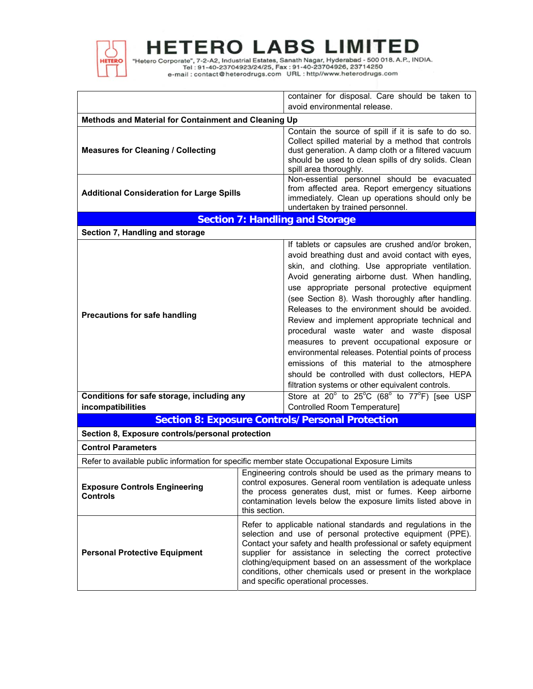

"Hetero Corporate", 7-2-A2, Industrial Estates, Sanath Nagar, Hyderabad - 500 018. A.P., INDIA.<br>Tel: 91-40-23704923/24/25, Fax: 91-40-23704926, 23714250<br>e-mail: contact@heterodrugs.com URL: http://www.heterodrugs.com

|                                                         | container for disposal. Care should be taken to                                                                                                                                                                                                                                                                                                                                                                                                                                                                                                                                                                                                                                                                                  |  |  |  |
|---------------------------------------------------------|----------------------------------------------------------------------------------------------------------------------------------------------------------------------------------------------------------------------------------------------------------------------------------------------------------------------------------------------------------------------------------------------------------------------------------------------------------------------------------------------------------------------------------------------------------------------------------------------------------------------------------------------------------------------------------------------------------------------------------|--|--|--|
|                                                         | avoid environmental release.                                                                                                                                                                                                                                                                                                                                                                                                                                                                                                                                                                                                                                                                                                     |  |  |  |
| Methods and Material for Containment and Cleaning Up    |                                                                                                                                                                                                                                                                                                                                                                                                                                                                                                                                                                                                                                                                                                                                  |  |  |  |
| <b>Measures for Cleaning / Collecting</b>               | Contain the source of spill if it is safe to do so.<br>Collect spilled material by a method that controls<br>dust generation. A damp cloth or a filtered vacuum<br>should be used to clean spills of dry solids. Clean<br>spill area thoroughly.                                                                                                                                                                                                                                                                                                                                                                                                                                                                                 |  |  |  |
| <b>Additional Consideration for Large Spills</b>        | Non-essential personnel should be evacuated<br>from affected area. Report emergency situations<br>immediately. Clean up operations should only be<br>undertaken by trained personnel.                                                                                                                                                                                                                                                                                                                                                                                                                                                                                                                                            |  |  |  |
|                                                         | <b>Section 7: Handling and Storage</b>                                                                                                                                                                                                                                                                                                                                                                                                                                                                                                                                                                                                                                                                                           |  |  |  |
| Section 7, Handling and storage                         |                                                                                                                                                                                                                                                                                                                                                                                                                                                                                                                                                                                                                                                                                                                                  |  |  |  |
| <b>Precautions for safe handling</b>                    | If tablets or capsules are crushed and/or broken,<br>avoid breathing dust and avoid contact with eyes,<br>skin, and clothing. Use appropriate ventilation.<br>Avoid generating airborne dust. When handling,<br>use appropriate personal protective equipment<br>(see Section 8). Wash thoroughly after handling.<br>Releases to the environment should be avoided.<br>Review and implement appropriate technical and<br>procedural waste water and waste disposal<br>measures to prevent occupational exposure or<br>environmental releases. Potential points of process<br>emissions of this material to the atmosphere<br>should be controlled with dust collectors, HEPA<br>filtration systems or other equivalent controls. |  |  |  |
| Conditions for safe storage, including any              | Store at $20^{\circ}$ to $25^{\circ}$ C (68 $^{\circ}$ to $77^{\circ}$ F) [see USP                                                                                                                                                                                                                                                                                                                                                                                                                                                                                                                                                                                                                                               |  |  |  |
| incompatibilities                                       | Controlled Room Temperature]                                                                                                                                                                                                                                                                                                                                                                                                                                                                                                                                                                                                                                                                                                     |  |  |  |
|                                                         | <b>Section 8: Exposure Controls/Personal Protection</b>                                                                                                                                                                                                                                                                                                                                                                                                                                                                                                                                                                                                                                                                          |  |  |  |
| Section 8, Exposure controls/personal protection        |                                                                                                                                                                                                                                                                                                                                                                                                                                                                                                                                                                                                                                                                                                                                  |  |  |  |
| <b>Control Parameters</b>                               |                                                                                                                                                                                                                                                                                                                                                                                                                                                                                                                                                                                                                                                                                                                                  |  |  |  |
|                                                         | Refer to available public information for specific member state Occupational Exposure Limits                                                                                                                                                                                                                                                                                                                                                                                                                                                                                                                                                                                                                                     |  |  |  |
| <b>Exposure Controls Engineering</b><br><b>Controls</b> | Engineering controls should be used as the primary means to<br>control exposures. General room ventilation is adequate unless<br>the process generates dust, mist or fumes. Keep airborne<br>contamination levels below the exposure limits listed above in<br>this section.                                                                                                                                                                                                                                                                                                                                                                                                                                                     |  |  |  |
| <b>Personal Protective Equipment</b>                    | Refer to applicable national standards and regulations in the<br>selection and use of personal protective equipment (PPE).<br>Contact your safety and health professional or safety equipment<br>supplier for assistance in selecting the correct protective<br>clothing/equipment based on an assessment of the workplace<br>conditions, other chemicals used or present in the workplace<br>and specific operational processes.                                                                                                                                                                                                                                                                                                |  |  |  |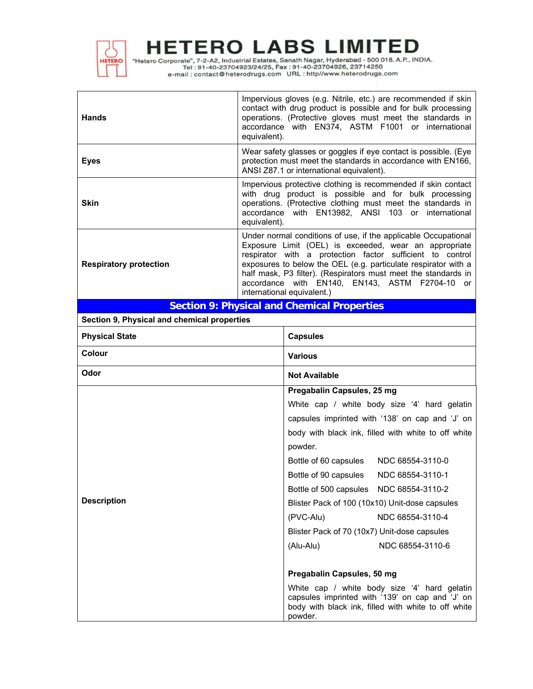

"Hetero Corporate", 7-2-A2, Industrial Estates, Sanath Nagar, Hyderabad - 500 018. A.P., INDIA.<br>Tel : 91-40-23704923/24/25, Fax : 91-40-23704926, 23714250<br>e-mail : contact@heterodrugs.com URL : http://www.heterodrugs.com

| <b>Hands</b>                  | Impervious gloves (e.g. Nitrile, etc.) are recommended if skin<br>contact with drug product is possible and for bulk processing<br>operations. (Protective gloves must meet the standards in<br>accordance with EN374, ASTM F1001 or international<br>equivalent).                                                                                                                                            |
|-------------------------------|---------------------------------------------------------------------------------------------------------------------------------------------------------------------------------------------------------------------------------------------------------------------------------------------------------------------------------------------------------------------------------------------------------------|
| <b>Eyes</b>                   | Wear safety glasses or goggles if eye contact is possible. (Eye<br>protection must meet the standards in accordance with EN166,<br>ANSI Z87.1 or international equivalent).                                                                                                                                                                                                                                   |
| Skin                          | Impervious protective clothing is recommended if skin contact<br>with drug product is possible and for bulk processing<br>operations. (Protective clothing must meet the standards in<br>accordance with EN13982, ANSI 103 or international<br>equivalent).                                                                                                                                                   |
| <b>Respiratory protection</b> | Under normal conditions of use, if the applicable Occupational<br>Exposure Limit (OEL) is exceeded, wear an appropriate<br>respirator with a protection factor sufficient to control<br>exposures to below the OEL (e.g. particulate respirator with a<br>half mask, P3 filter). (Respirators must meet the standards in<br>accordance with EN140, EN143, ASTM F2704-10<br>or -<br>international equivalent.) |

# **Section 9: Physical and Chemical Properties**

**Section 9, Physical and chemical properties**

| <b>Physical State</b> | <b>Capsules</b>                                                                                                                                                   |  |  |  |
|-----------------------|-------------------------------------------------------------------------------------------------------------------------------------------------------------------|--|--|--|
| Colour                | <b>Various</b>                                                                                                                                                    |  |  |  |
| Odor                  | <b>Not Available</b>                                                                                                                                              |  |  |  |
|                       | Pregabalin Capsules, 25 mg                                                                                                                                        |  |  |  |
|                       | White cap / white body size '4' hard gelatin                                                                                                                      |  |  |  |
|                       | capsules imprinted with '138' on cap and 'J' on                                                                                                                   |  |  |  |
|                       | body with black ink, filled with white to off white                                                                                                               |  |  |  |
|                       | powder.                                                                                                                                                           |  |  |  |
|                       | Bottle of 60 capsules<br>NDC 68554-3110-0                                                                                                                         |  |  |  |
|                       | NDC 68554-3110-1<br>Bottle of 90 capsules                                                                                                                         |  |  |  |
|                       | Bottle of 500 capsules NDC 68554-3110-2                                                                                                                           |  |  |  |
| <b>Description</b>    | Blister Pack of 100 (10x10) Unit-dose capsules                                                                                                                    |  |  |  |
|                       | (PVC-Alu)<br>NDC 68554-3110-4                                                                                                                                     |  |  |  |
|                       | Blister Pack of 70 (10x7) Unit-dose capsules                                                                                                                      |  |  |  |
|                       | NDC 68554-3110-6<br>(Alu-Alu)                                                                                                                                     |  |  |  |
|                       |                                                                                                                                                                   |  |  |  |
|                       | Pregabalin Capsules, 50 mg                                                                                                                                        |  |  |  |
|                       | White cap / white body size '4' hard gelatin<br>capsules imprinted with '139' on cap and 'J' on<br>body with black ink, filled with white to off white<br>powder. |  |  |  |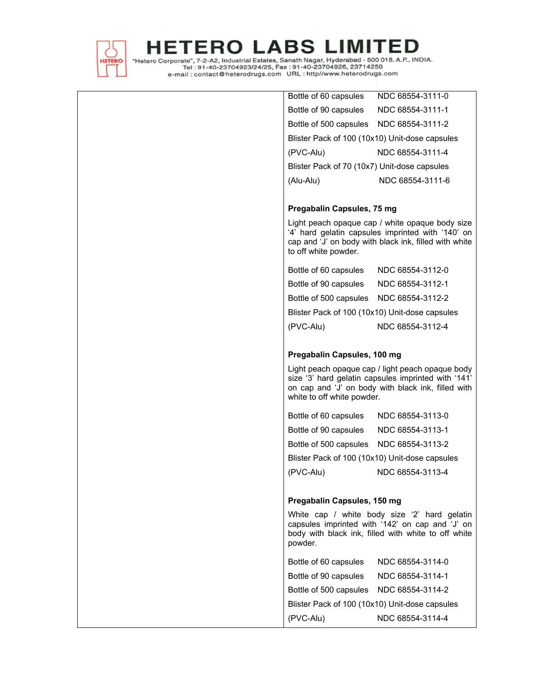

"Hetero Corporate", 7-2-A2, Industrial Estates, Sanath Nagar, Hyderabad - 500 018. A.P., INDIA.<br>Tel : 91-40-23704923/24/25, Fax : 91-40-23704926, 23714250<br>e-mail : contact@heterodrugs.com URL : http://www.heterodrugs.com

| Bottle of 60 capsules NDC 68554-3111-0         |                                                                                                                                                               |
|------------------------------------------------|---------------------------------------------------------------------------------------------------------------------------------------------------------------|
| Bottle of 90 capsules NDC 68554-3111-1         |                                                                                                                                                               |
| Bottle of 500 capsules  NDC 68554-3111-2       |                                                                                                                                                               |
| Blister Pack of 100 (10x10) Unit-dose capsules |                                                                                                                                                               |
| (PVC-Alu)                                      | NDC 68554-3111-4                                                                                                                                              |
| Blister Pack of 70 (10x7) Unit-dose capsules   |                                                                                                                                                               |
| (Alu-Alu)                                      | NDC 68554-3111-6                                                                                                                                              |
|                                                |                                                                                                                                                               |
| Pregabalin Capsules, 75 mg                     |                                                                                                                                                               |
| to off white powder.                           | Light peach opaque cap / white opaque body size<br>'4' hard gelatin capsules imprinted with '140' on<br>cap and 'J' on body with black ink, filled with white |
| Bottle of 60 capsules NDC 68554-3112-0         |                                                                                                                                                               |
| Bottle of 90 capsules NDC 68554-3112-1         |                                                                                                                                                               |
| Bottle of 500 capsules  NDC 68554-3112-2       |                                                                                                                                                               |
| Blister Pack of 100 (10x10) Unit-dose capsules |                                                                                                                                                               |
| (PVC-Alu)                                      | NDC 68554-3112-4                                                                                                                                              |
|                                                |                                                                                                                                                               |
| Pregabalin Capsules, 100 mg                    |                                                                                                                                                               |
| white to off white powder.                     | Light peach opaque cap / light peach opaque body<br>size '3' hard gelatin capsules imprinted with '141'<br>on cap and 'J' on body with black ink, filled with |
| Bottle of 60 capsules NDC 68554-3113-0         |                                                                                                                                                               |
| Bottle of 90 capsules NDC 68554-3113-1         |                                                                                                                                                               |
| Bottle of 500 capsules  NDC 68554-3113-2       |                                                                                                                                                               |
| Blister Pack of 100 (10x10) Unit-dose capsules |                                                                                                                                                               |
| (PVC-Alu)                                      | NDC 68554-3113-4                                                                                                                                              |
|                                                |                                                                                                                                                               |
| Pregabalin Capsules, 150 mg                    |                                                                                                                                                               |
| powder.                                        | White cap / white body size '2' hard gelatin<br>capsules imprinted with '142' on cap and 'J' on<br>body with black ink, filled with white to off white        |
| Bottle of 60 capsules                          | NDC 68554-3114-0                                                                                                                                              |
| Bottle of 90 capsules                          | NDC 68554-3114-1                                                                                                                                              |
| Bottle of 500 capsules                         | NDC 68554-3114-2                                                                                                                                              |
| Blister Pack of 100 (10x10) Unit-dose capsules |                                                                                                                                                               |
| (PVC-Alu)                                      | NDC 68554-3114-4                                                                                                                                              |
|                                                |                                                                                                                                                               |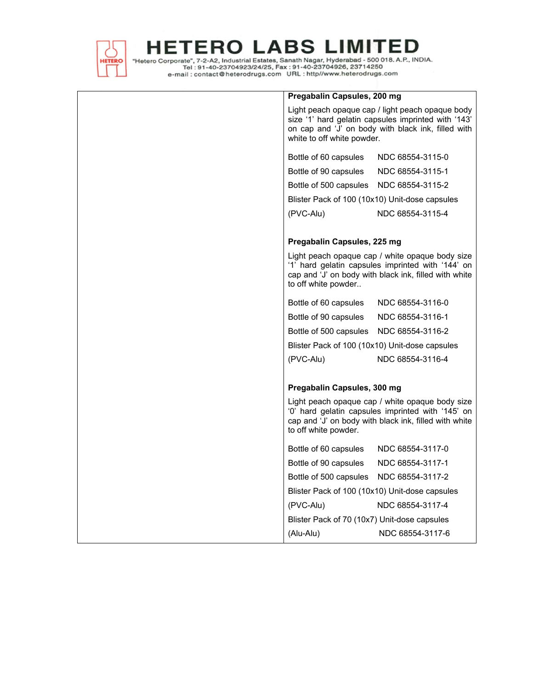

"Hetero Corporate", 7-2-A2, Industrial Estates, Sanath Nagar, Hyderabad - 500 018. A.P., INDIA.<br>Tel : 91-40-23704923/24/25, Fax : 91-40-23704926, 23714250<br>e-mail : contact@heterodrugs.com URL : http://www.heterodrugs.com

| Pregabalin Capsules, 200 mg                                                                                                                                                                 |                  |  |
|---------------------------------------------------------------------------------------------------------------------------------------------------------------------------------------------|------------------|--|
| Light peach opaque cap / light peach opaque body<br>size '1' hard gelatin capsules imprinted with '143'<br>on cap and 'J' on body with black ink, filled with<br>white to off white powder. |                  |  |
| Bottle of 60 capsules                                                                                                                                                                       | NDC 68554-3115-0 |  |
| Bottle of 90 capsules                                                                                                                                                                       | NDC 68554-3115-1 |  |
| Bottle of 500 capsules                                                                                                                                                                      | NDC 68554-3115-2 |  |
| Blister Pack of 100 (10x10) Unit-dose capsules                                                                                                                                              |                  |  |
| (PVC-Alu)                                                                                                                                                                                   | NDC 68554-3115-4 |  |
|                                                                                                                                                                                             |                  |  |
| Pregabalin Capsules, 225 mg                                                                                                                                                                 |                  |  |
| Light peach opaque cap / white opaque body size<br>'1' hard gelatin capsules imprinted with '144' on<br>cap and 'J' on body with black ink, filled with white<br>to off white powder        |                  |  |
| Bottle of 60 capsules                                                                                                                                                                       | NDC 68554-3116-0 |  |
| Bottle of 90 capsules                                                                                                                                                                       | NDC 68554-3116-1 |  |
| Bottle of 500 capsules                                                                                                                                                                      | NDC 68554-3116-2 |  |
| Blister Pack of 100 (10x10) Unit-dose capsules                                                                                                                                              |                  |  |
| (PVC-Alu)                                                                                                                                                                                   | NDC 68554-3116-4 |  |
|                                                                                                                                                                                             |                  |  |
| Pregabalin Capsules, 300 mg                                                                                                                                                                 |                  |  |
| Light peach opaque cap / white opaque body size<br>'0' hard gelatin capsules imprinted with '145' on<br>cap and 'J' on body with black ink, filled with white<br>to off white powder.       |                  |  |
| Bottle of 60 capsules                                                                                                                                                                       | NDC 68554-3117-0 |  |
| Bottle of 90 capsules                                                                                                                                                                       | NDC 68554-3117-1 |  |
| Bottle of 500 capsules                                                                                                                                                                      | NDC 68554-3117-2 |  |
| Blister Pack of 100 (10x10) Unit-dose capsules                                                                                                                                              |                  |  |
| (PVC-Alu)                                                                                                                                                                                   | NDC 68554-3117-4 |  |
| Blister Pack of 70 (10x7) Unit-dose capsules                                                                                                                                                |                  |  |
| (Alu-Alu)                                                                                                                                                                                   | NDC 68554-3117-6 |  |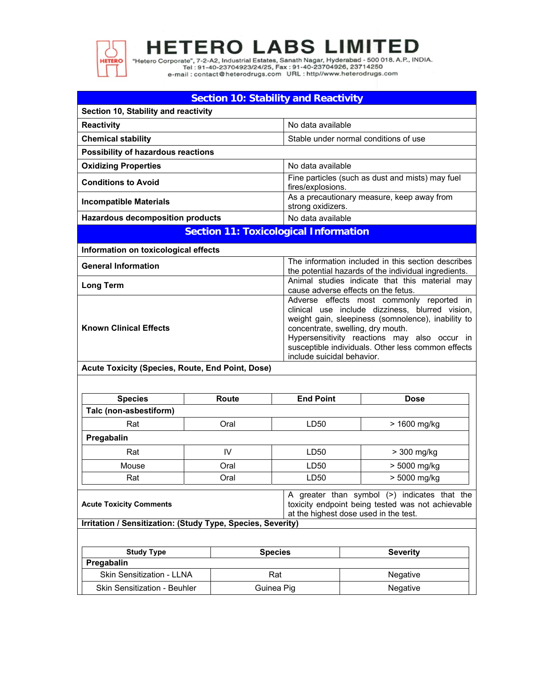

н

**ETERO LABS LIMITED** 

"Hetero Corporate", 7-2-A2, Industrial Estates, Sanath Nagar, Hyderabad - 500 018. A.P., INDIA.<br>Tel : 91-40-23704923/24/25, Fax : 91-40-23704926, 23714250<br>e-mail : contact@heterodrugs.com URL : http://www.heterodrugs.com

| <b>Section 10: Stability and Reactivity</b>  |                                                                                                                                                                                                                                         |  |  |  |
|----------------------------------------------|-----------------------------------------------------------------------------------------------------------------------------------------------------------------------------------------------------------------------------------------|--|--|--|
| Section 10, Stability and reactivity         |                                                                                                                                                                                                                                         |  |  |  |
| <b>Reactivity</b>                            | No data available                                                                                                                                                                                                                       |  |  |  |
| <b>Chemical stability</b>                    | Stable under normal conditions of use                                                                                                                                                                                                   |  |  |  |
| Possibility of hazardous reactions           |                                                                                                                                                                                                                                         |  |  |  |
| <b>Oxidizing Properties</b>                  | No data available                                                                                                                                                                                                                       |  |  |  |
| <b>Conditions to Avoid</b>                   | Fine particles (such as dust and mists) may fuel<br>fires/explosions.                                                                                                                                                                   |  |  |  |
| Incompatible Materials                       | As a precautionary measure, keep away from<br>strong oxidizers.                                                                                                                                                                         |  |  |  |
| <b>Hazardous decomposition products</b>      | No data available                                                                                                                                                                                                                       |  |  |  |
| <b>Section 11: Toxicological Information</b> |                                                                                                                                                                                                                                         |  |  |  |
| Information on toxicological effects         |                                                                                                                                                                                                                                         |  |  |  |
| <b>General Information</b>                   | The information included in this section describes<br>the potential hazards of the individual ingredients.                                                                                                                              |  |  |  |
| Long Term                                    | Animal studies indicate that this material may<br>cause adverse effects on the fetus.                                                                                                                                                   |  |  |  |
| <b>Known Clinical Effects</b>                | Adverse effects most commonly reported in<br>clinical use include dizziness, blurred vision,<br>weight gain, sleepiness (somnolence), inability to<br>concentrate, swelling, dry mouth.<br>Hypersensitivity reactions may also occur in |  |  |  |

susceptible individuals. Other less common effects include suicidal behavior.

**Acute Toxicity (Species, Route, End Point, Dose)** 

| <b>Species</b>         | <b>End Point</b><br><b>Route</b> |      | <b>Dose</b>  |  |
|------------------------|----------------------------------|------|--------------|--|
| Talc (non-asbestiform) |                                  |      |              |  |
| Rat                    | Oral                             | LD50 | > 1600 mg/kg |  |
| Pregabalin             |                                  |      |              |  |
| Rat                    | IV                               | LD50 | > 300 mg/kg  |  |
| Mouse                  | Oral                             | LD50 | > 5000 mg/kg |  |
| Rat                    | Oral                             | LD50 | > 5000 mg/kg |  |

|                                                                                                                                                                                                                                                                                                  |  |                                       | A greater than symbol (>) indicates that the      |  |
|--------------------------------------------------------------------------------------------------------------------------------------------------------------------------------------------------------------------------------------------------------------------------------------------------|--|---------------------------------------|---------------------------------------------------|--|
| <b>Acute Toxicity Comments</b>                                                                                                                                                                                                                                                                   |  |                                       | toxicity endpoint being tested was not achievable |  |
|                                                                                                                                                                                                                                                                                                  |  | at the highest dose used in the test. |                                                   |  |
| $\mathbf{L}$ and $\mathbf{L}$ and $\mathbf{L}$ and $\mathbf{L}$ and $\mathbf{L}$ and $\mathbf{L}$ and $\mathbf{L}$ and $\mathbf{L}$ and $\mathbf{L}$ and $\mathbf{L}$ and $\mathbf{L}$ and $\mathbf{L}$ and $\mathbf{L}$ and $\mathbf{L}$ and $\mathbf{L}$ and $\mathbf{L}$ and $\mathbf{L}$ and |  |                                       |                                                   |  |

**Irritation / Sensitization: (Study Type, Species, Severity)**

| <b>Study Type</b>                   | <b>Species</b> | <b>Severity</b> |
|-------------------------------------|----------------|-----------------|
| Pregabalin                          |                |                 |
| <b>Skin Sensitization - LLNA</b>    | Rat            | <b>Negative</b> |
| <b>Skin Sensitization - Beuhler</b> | Guinea Pig     | Negative        |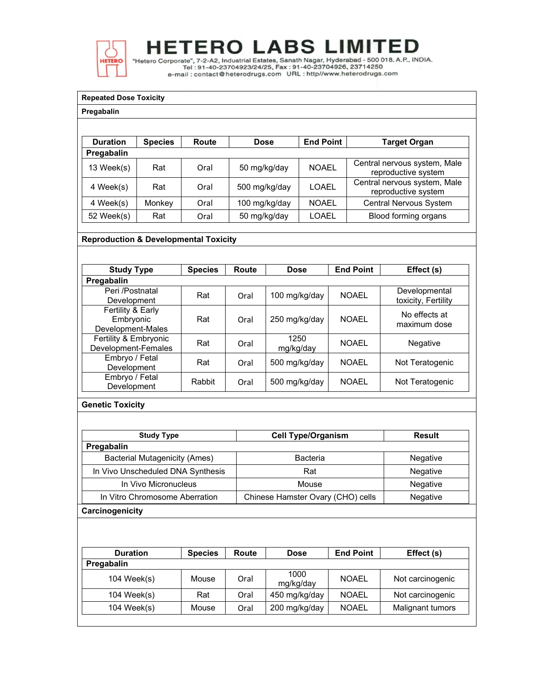

"Hetero Corporate", 7-2-A2, Industrial Estates, Sanath Nagar, Hyderabad - 500 018. A.P., INDIA.<br>Tel: 91-40-23704923/24/25, Fax: 91-40-23704926, 23714250<br>e-mail : contact@heterodrugs.com URL : http://www.heterodrugs.com

### **Repeated Dose Toxicity**

### **Pregabalin**

| <b>Duration</b> | <b>Species</b> | Route | Dose          | <b>End Point</b> | <b>Target Organ</b>                                 |
|-----------------|----------------|-------|---------------|------------------|-----------------------------------------------------|
| Pregabalin      |                |       |               |                  |                                                     |
| 13 Week(s)      | Rat            | Oral  | 50 mg/kg/day  | <b>NOAEL</b>     | Central nervous system, Male<br>reproductive system |
| 4 Week(s)       | Rat            | Oral  | 500 mg/kg/day | LOAEL            | Central nervous system, Male<br>reproductive system |
| 4 Week(s)       | Monkey         | Oral  | 100 mg/kg/day | <b>NOAEL</b>     | Central Nervous System                              |
| 52 Week(s)      | Rat            | Oral  | 50 mg/kg/day  | LOAEL            | Blood forming organs                                |

## **Reproduction & Developmental Toxicity**

| <b>Study Type</b>                                   | <b>Species</b> | Route | <b>Dose</b>       | <b>End Point</b> | Effect (s)                           |
|-----------------------------------------------------|----------------|-------|-------------------|------------------|--------------------------------------|
| Pregabalin                                          |                |       |                   |                  |                                      |
| Peri /Postnatal<br>Development                      | Rat            | Oral  | 100 mg/kg/day     | <b>NOAEL</b>     | Developmental<br>toxicity, Fertility |
| Fertility & Early<br>Embryonic<br>Development-Males | Rat            | Oral  | 250 mg/kg/day     | <b>NOAEL</b>     | No effects at<br>maximum dose        |
| Fertility & Embryonic<br>Development-Females        | Rat            | Oral  | 1250<br>mg/kg/day | <b>NOAFI</b>     | <b>Negative</b>                      |
| Embryo / Fetal<br>Development                       | Rat            | Oral  | 500 mg/kg/day     | NOAFI            | Not Teratogenic                      |
| Embryo / Fetal<br>Development                       | Rabbit         | Oral  | 500 mg/kg/day     | <b>NOAEL</b>     | Not Teratogenic                      |

### **Genetic Toxicity**

| <b>Study Type</b>                    | <b>Cell Type/Organism</b>         | Result   |  |
|--------------------------------------|-----------------------------------|----------|--|
| Pregabalin                           |                                   |          |  |
| <b>Bacterial Mutagenicity (Ames)</b> | Bacteria                          | Negative |  |
| In Vivo Unscheduled DNA Synthesis    | Rat                               | Negative |  |
| In Vivo Micronucleus                 | Mouse                             | Negative |  |
| In Vitro Chromosome Aberration       | Chinese Hamster Ovary (CHO) cells | Negative |  |
| Carcinogenicity                      |                                   |          |  |

| <b>Duration</b> | <b>Species</b> | Route | <b>Dose</b>       | <b>End Point</b> | Effect (s)       |
|-----------------|----------------|-------|-------------------|------------------|------------------|
| Pregabalin      |                |       |                   |                  |                  |
| 104 Week(s)     | Mouse          | Oral  | 1000<br>mg/kg/day | <b>NOAEL</b>     | Not carcinogenic |
| 104 Week(s)     | Rat            | Oral  | 450 mg/kg/day     | <b>NOAEL</b>     | Not carcinogenic |
| 104 Week(s)     | Mouse          | Oral  | 200 mg/kg/day     | <b>NOAEL</b>     | Malignant tumors |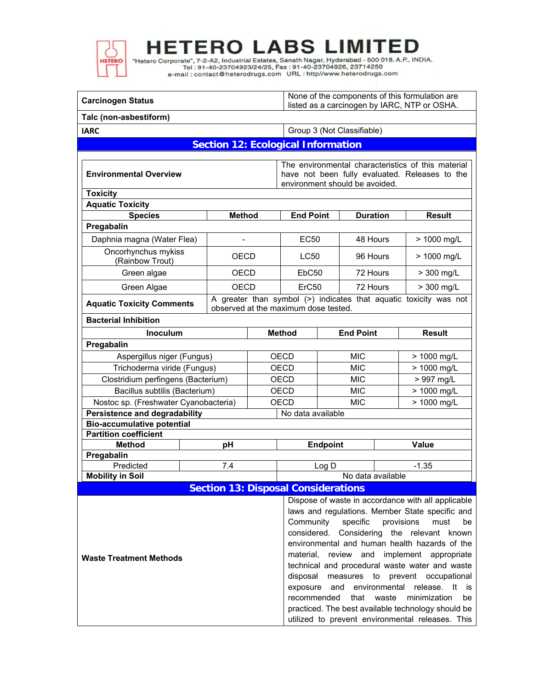

"Hetero Corporate", 7-2-A2, Industrial Estates, Sanath Nagar, Hyderabad - 500 018. A.P., INDIA.<br>Tel : 91-40-23704923/24/25, Fax : 91-40-23704926, 23714250<br>e-mail : contact@heterodrugs.com URL : http//www.heterodrugs.com

| <b>Carcinogen Status</b>                                                  |                                            |             |                                                                                                                                                                                                                                                                                                                                                                                                                                                                                                                                                                                                                                     | None of the components of this formulation are<br>listed as a carcinogen by IARC, NTP or OSHA. |                            |             |                                                                   |  |
|---------------------------------------------------------------------------|--------------------------------------------|-------------|-------------------------------------------------------------------------------------------------------------------------------------------------------------------------------------------------------------------------------------------------------------------------------------------------------------------------------------------------------------------------------------------------------------------------------------------------------------------------------------------------------------------------------------------------------------------------------------------------------------------------------------|------------------------------------------------------------------------------------------------|----------------------------|-------------|-------------------------------------------------------------------|--|
| Talc (non-asbestiform)                                                    |                                            |             |                                                                                                                                                                                                                                                                                                                                                                                                                                                                                                                                                                                                                                     |                                                                                                |                            |             |                                                                   |  |
| <b>IARC</b>                                                               |                                            |             |                                                                                                                                                                                                                                                                                                                                                                                                                                                                                                                                                                                                                                     |                                                                                                | Group 3 (Not Classifiable) |             |                                                                   |  |
|                                                                           | <b>Section 12: Ecological Information</b>  |             |                                                                                                                                                                                                                                                                                                                                                                                                                                                                                                                                                                                                                                     |                                                                                                |                            |             |                                                                   |  |
| <b>Environmental Overview</b>                                             |                                            |             | The environmental characteristics of this material<br>have not been fully evaluated. Releases to the<br>environment should be avoided.                                                                                                                                                                                                                                                                                                                                                                                                                                                                                              |                                                                                                |                            |             |                                                                   |  |
| <b>Toxicity</b>                                                           |                                            |             |                                                                                                                                                                                                                                                                                                                                                                                                                                                                                                                                                                                                                                     |                                                                                                |                            |             |                                                                   |  |
| <b>Aquatic Toxicity</b>                                                   |                                            |             |                                                                                                                                                                                                                                                                                                                                                                                                                                                                                                                                                                                                                                     |                                                                                                |                            |             |                                                                   |  |
| <b>Species</b>                                                            | <b>Method</b>                              |             | <b>End Point</b>                                                                                                                                                                                                                                                                                                                                                                                                                                                                                                                                                                                                                    |                                                                                                | <b>Duration</b>            |             | <b>Result</b>                                                     |  |
| Pregabalin                                                                |                                            |             |                                                                                                                                                                                                                                                                                                                                                                                                                                                                                                                                                                                                                                     |                                                                                                |                            |             |                                                                   |  |
| Daphnia magna (Water Flea)                                                | $\overline{\phantom{a}}$                   |             | EC50                                                                                                                                                                                                                                                                                                                                                                                                                                                                                                                                                                                                                                |                                                                                                | 48 Hours                   |             | > 1000 mg/L                                                       |  |
| Oncorhynchus mykiss<br>(Rainbow Trout)                                    | <b>OECD</b>                                |             | <b>LC50</b>                                                                                                                                                                                                                                                                                                                                                                                                                                                                                                                                                                                                                         |                                                                                                | 96 Hours                   |             | > 1000 mg/L                                                       |  |
| Green algae                                                               | <b>OECD</b>                                |             | EbC <sub>50</sub>                                                                                                                                                                                                                                                                                                                                                                                                                                                                                                                                                                                                                   |                                                                                                | 72 Hours                   |             | > 300 mg/L                                                        |  |
| Green Algae                                                               | <b>OECD</b>                                |             | ErC50                                                                                                                                                                                                                                                                                                                                                                                                                                                                                                                                                                                                                               |                                                                                                | 72 Hours                   |             | > 300 mg/L                                                        |  |
| <b>Aquatic Toxicity Comments</b>                                          |                                            |             | observed at the maximum dose tested.                                                                                                                                                                                                                                                                                                                                                                                                                                                                                                                                                                                                |                                                                                                |                            |             | A greater than symbol (>) indicates that aquatic toxicity was not |  |
| <b>Bacterial Inhibition</b>                                               |                                            |             |                                                                                                                                                                                                                                                                                                                                                                                                                                                                                                                                                                                                                                     |                                                                                                |                            |             |                                                                   |  |
| Inoculum                                                                  |                                            |             | <b>Method</b>                                                                                                                                                                                                                                                                                                                                                                                                                                                                                                                                                                                                                       |                                                                                                | <b>End Point</b>           |             | <b>Result</b>                                                     |  |
| Pregabalin                                                                |                                            |             |                                                                                                                                                                                                                                                                                                                                                                                                                                                                                                                                                                                                                                     |                                                                                                |                            |             |                                                                   |  |
| Aspergillus niger (Fungus)                                                |                                            |             | <b>OECD</b>                                                                                                                                                                                                                                                                                                                                                                                                                                                                                                                                                                                                                         |                                                                                                | <b>MIC</b>                 |             | > 1000 mg/L                                                       |  |
| Trichoderma viride (Fungus)                                               |                                            |             | <b>OECD</b>                                                                                                                                                                                                                                                                                                                                                                                                                                                                                                                                                                                                                         | <b>MIC</b>                                                                                     |                            |             | > 1000 mg/L                                                       |  |
| Clostridium perfingens (Bacterium)                                        |                                            | <b>OECD</b> | <b>MIC</b>                                                                                                                                                                                                                                                                                                                                                                                                                                                                                                                                                                                                                          |                                                                                                |                            | > 997 mg/L  |                                                                   |  |
| Bacillus subtilis (Bacterium)                                             |                                            | <b>OECD</b> | <b>MIC</b>                                                                                                                                                                                                                                                                                                                                                                                                                                                                                                                                                                                                                          |                                                                                                |                            | > 1000 mg/L |                                                                   |  |
| Nostoc sp. (Freshwater Cyanobacteria)                                     |                                            |             | <b>OECD</b><br><b>MIC</b>                                                                                                                                                                                                                                                                                                                                                                                                                                                                                                                                                                                                           |                                                                                                |                            | > 1000 mg/L |                                                                   |  |
| <b>Persistence and degradability</b><br><b>Bio-accumulative potential</b> |                                            |             |                                                                                                                                                                                                                                                                                                                                                                                                                                                                                                                                                                                                                                     | No data available                                                                              |                            |             |                                                                   |  |
| <b>Partition coefficient</b>                                              |                                            |             |                                                                                                                                                                                                                                                                                                                                                                                                                                                                                                                                                                                                                                     |                                                                                                |                            |             |                                                                   |  |
| <b>Method</b>                                                             |                                            |             | <b>Endpoint</b>                                                                                                                                                                                                                                                                                                                                                                                                                                                                                                                                                                                                                     |                                                                                                |                            | Value       |                                                                   |  |
| Pregabalin                                                                |                                            |             |                                                                                                                                                                                                                                                                                                                                                                                                                                                                                                                                                                                                                                     |                                                                                                |                            |             |                                                                   |  |
| Predicted                                                                 | 7.4                                        |             |                                                                                                                                                                                                                                                                                                                                                                                                                                                                                                                                                                                                                                     | Log D                                                                                          |                            |             | $-1.35$                                                           |  |
| <b>Mobility in Soil</b>                                                   |                                            |             |                                                                                                                                                                                                                                                                                                                                                                                                                                                                                                                                                                                                                                     |                                                                                                | No data available          |             |                                                                   |  |
|                                                                           | <b>Section 13: Disposal Considerations</b> |             |                                                                                                                                                                                                                                                                                                                                                                                                                                                                                                                                                                                                                                     |                                                                                                |                            |             |                                                                   |  |
| <b>Waste Treatment Methods</b>                                            |                                            |             | Dispose of waste in accordance with all applicable<br>laws and regulations. Member State specific and<br>Community<br>provisions<br>specific<br>must<br>be<br>considered.<br>Considering the relevant known<br>environmental and human health hazards of the<br>material, review and implement appropriate<br>technical and procedural waste water and waste<br>disposal measures to prevent occupational<br>environmental release.<br>exposure<br>and<br>-lt<br>is<br>recommended<br>that<br>waste<br>minimization<br>be<br>practiced. The best available technology should be<br>utilized to prevent environmental releases. This |                                                                                                |                            |             |                                                                   |  |